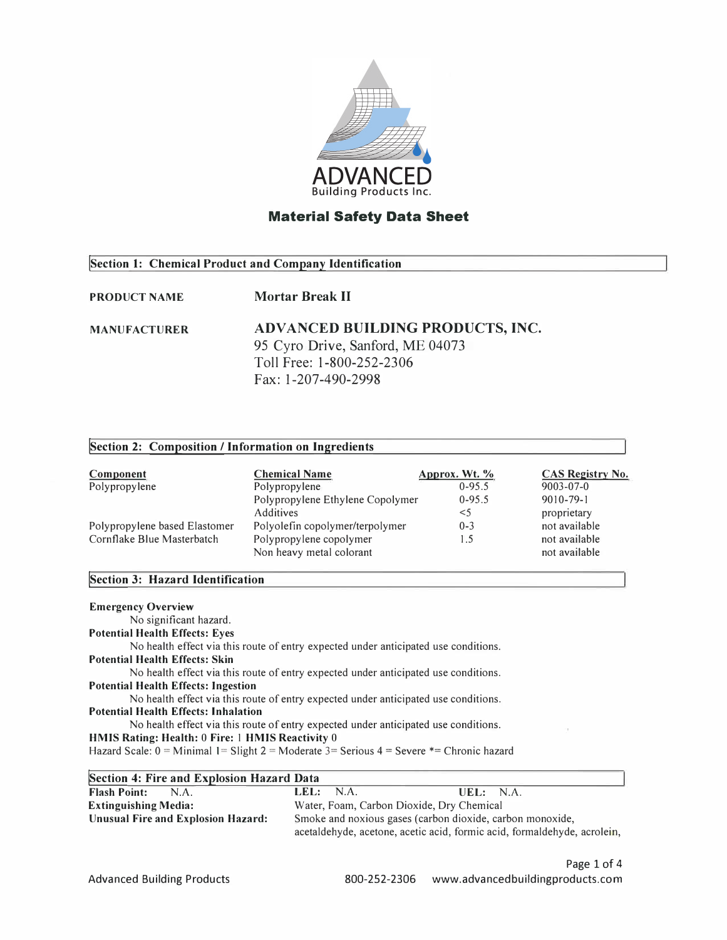

#### **Section 1: Chemical Product and Company Identification**

#### **PRODUCT NAME Mortar Break II**

#### **MANUFACTURER ADV AN CED BUILDING PRODUCTS, INC.**  95 Cyro Drive, Sanford, ME 04073 Toll Free: 1-800-252-2306 Fax: 1-207-490-2998

| Section 2: Composition / Information on Ingredients                                                                                                                                 |                                                                                                                                                                            |                      |                         |
|-------------------------------------------------------------------------------------------------------------------------------------------------------------------------------------|----------------------------------------------------------------------------------------------------------------------------------------------------------------------------|----------------------|-------------------------|
| <b>Component</b>                                                                                                                                                                    | <b>Chemical Name</b>                                                                                                                                                       | <u>Approx. Wt. %</u> | <b>CAS Registry No.</b> |
| Polypropylene                                                                                                                                                                       | Polypropylene                                                                                                                                                              | $0-95.5$             | $9003 - 07 - 0$         |
|                                                                                                                                                                                     | Polypropylene Ethylene Copolymer                                                                                                                                           | $0 - 95.5$           | $9010 - 79 - 1$         |
|                                                                                                                                                                                     | <b>Additives</b>                                                                                                                                                           | $<$ 5                | proprietary             |
| Polypropylene based Elastomer                                                                                                                                                       | Polyolefin copolymer/terpolymer                                                                                                                                            | $0 - 3$              | not available           |
| Cornflake Blue Masterbatch                                                                                                                                                          | Polypropylene copolymer                                                                                                                                                    | 1.5                  | not available           |
|                                                                                                                                                                                     | Non heavy metal colorant                                                                                                                                                   |                      | not available           |
| Section 3: Hazard Identification                                                                                                                                                    |                                                                                                                                                                            |                      |                         |
| <b>Emergency Overview</b><br>No significant hazard.<br><b>Potential Health Effects: Eyes</b><br><b>Potential Health Effects: Skin</b><br><b>Potential Health Effects: Ingestion</b> | No health effect via this route of entry expected under anticipated use conditions.<br>No health effect via this route of entry expected under anticipated use conditions. |                      |                         |
|                                                                                                                                                                                     | No health effect via this route of entry expected under anticipated use conditions.                                                                                        |                      |                         |
| <b>Potential Health Effects: Inhalation</b>                                                                                                                                         |                                                                                                                                                                            |                      |                         |
|                                                                                                                                                                                     | No health effect via this route of entry expected under anticipated use conditions.                                                                                        |                      |                         |
| HMIS Rating: Health: 0 Fire: 1 HMIS Reactivity 0                                                                                                                                    | Hazard Scale: $0 =$ Minimal 1 = Slight 2 = Moderate 3 = Serious 4 = Severe $*$ = Chronic hazard                                                                            |                      |                         |
| Section 4: Fire and Explosion Hazard Data                                                                                                                                           |                                                                                                                                                                            |                      |                         |
| $\mathbf{D}$ lash $\mathbf{D}$ sinte $\mathbf{M}$ $\mathbf{A}$                                                                                                                      | NI A<br>1 C L                                                                                                                                                              | LIEL.<br><b>NIA</b>  |                         |

| <b>Flash Point:</b><br>NA          | LEL: $NA$ .<br>UEL: NA.                                                  |
|------------------------------------|--------------------------------------------------------------------------|
| <b>Extinguishing Media:</b>        | Water, Foam, Carbon Dioxide, Dry Chemical                                |
| Unusual Fire and Explosion Hazard: | Smoke and noxious gases (carbon dioxide, carbon monoxide,                |
|                                    | acetaldehyde, acetone, acetic acid, formic acid, formaldehyde, acrolein, |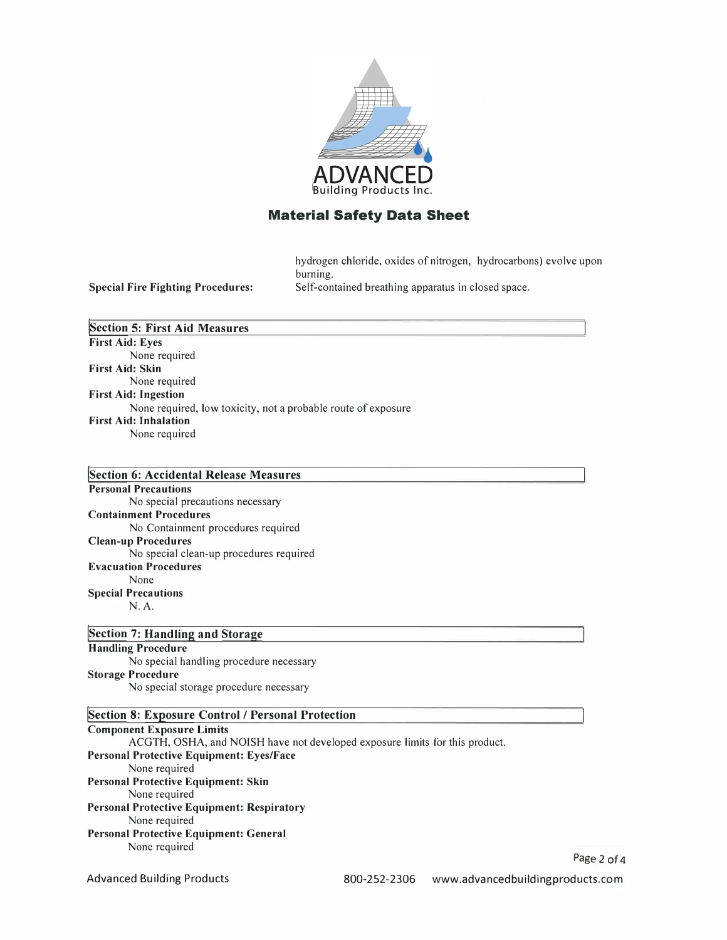

hydrogen chloride, oxides of nitrogen, hydrocarbons) evolve upon burning. Self-contained breathing apparatus in closed space.

**Special Fire Fighting Procedures:** 

**!Section 5: First Aid Measures First Aid: Eyes**  None required **First Aid: Skin**  None required **First Aid: Ingestion**  None required, low toxicity, not a probable route of exposure **First Aid: Inhalation**  None required

**!section 6: Accidental Release Measures Personal Precautions**  No special precautions necessary **Containment Procedures**  No Containment procedures required **Clean-up Procedures**  No special clean-up procedures required **Evacuation Procedures**  None **Special Precautions**  N.A.

**!section 7: Handling and Storage Handling Procedure**  No special handling procedure necessary **Storage Procedure** 

No special storage procedure necessary

#### **!Section 8: Exposure Control / Personal Protection**

**Component Exposure Limits**  ACGTH, OSHA, and NOISH have not developed exposure limits for this product. **Personal Protective Equipment: Eyes/Face**  None required **Personal Protective Equipment: Skin**  None required **Personal Protective Equipment: Respiratory**  None required **Personal Protective Equipment: General**  None required

Page 2 of 4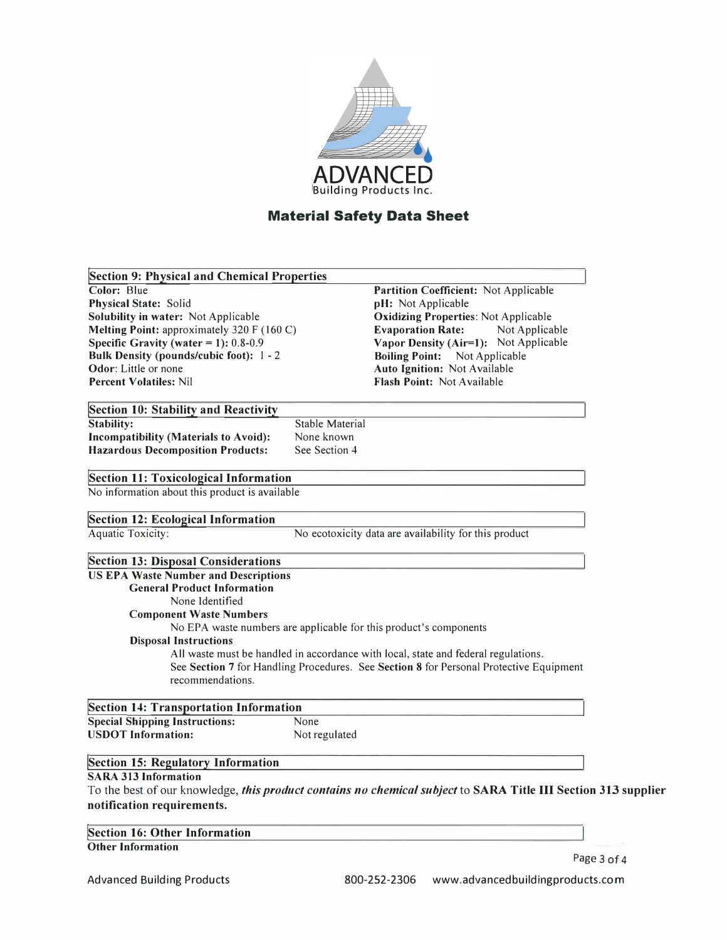

| <b>Section 9: Physical and Chemical Properties</b> |                        |                                                                                                                |  |
|----------------------------------------------------|------------------------|----------------------------------------------------------------------------------------------------------------|--|
| Color: Blue                                        |                        | Partition Coefficient: Not Applicable                                                                          |  |
| <b>Physical State: Solid</b>                       |                        | pH: Not Applicable                                                                                             |  |
| Solubility in water: Not Applicable                |                        | <b>Oxidizing Properties: Not Applicable</b>                                                                    |  |
| Melting Point: approximately 320 F (160 C)         |                        | Not Applicable<br><b>Evaporation Rate:</b>                                                                     |  |
| Specific Gravity (water = $1$ ): 0.8-0.9           |                        | Vapor Density (Air=1): Not Applicable                                                                          |  |
| Bulk Density (pounds/cubic foot): 1 - 2            |                        | <b>Boiling Point:</b><br>Not Applicable                                                                        |  |
| Odor: Little or none                               |                        | Auto Ignition: Not Available                                                                                   |  |
| <b>Percent Volatiles: Nil</b>                      |                        | Flash Point: Not Available                                                                                     |  |
| Section 10: Stability and Reactivity               |                        |                                                                                                                |  |
| <b>Stability:</b>                                  | <b>Stable Material</b> |                                                                                                                |  |
| Incompatibility (Materials to Avoid):              | None known             |                                                                                                                |  |
| <b>Hazardous Decomposition Products:</b>           | See Section 4          |                                                                                                                |  |
| <b>Section 11: Toxicological Information</b>       |                        |                                                                                                                |  |
| No information about this product is available     |                        |                                                                                                                |  |
| <b>Section 12: Ecological Information</b>          |                        |                                                                                                                |  |
| Aquatic Toxicity:                                  |                        | No ecotoxicity data are availability for this product                                                          |  |
|                                                    |                        |                                                                                                                |  |
| <b>Section 13: Disposal Considerations</b>         |                        |                                                                                                                |  |
| <b>US EPA Waste Number and Descriptions</b>        |                        |                                                                                                                |  |
| <b>General Product Information</b>                 |                        |                                                                                                                |  |
| None Identified                                    |                        |                                                                                                                |  |
| <b>Component Waste Numbers</b>                     |                        |                                                                                                                |  |
|                                                    |                        | No EPA waste numbers are applicable for this product's components                                              |  |
| <b>Disposal Instructions</b>                       |                        |                                                                                                                |  |
|                                                    |                        | All waste must be handled in accordance with local, state and federal regulations.                             |  |
|                                                    |                        | See Section 7 for Handling Procedures. See Section 8 for Personal Protective Equipment                         |  |
| recommendations.                                   |                        |                                                                                                                |  |
| <b>Section 14: Transportation Information</b>      |                        |                                                                                                                |  |
| <b>Special Shipping Instructions:</b>              | None                   |                                                                                                                |  |
| <b>USDOT Information:</b>                          | Not regulated          |                                                                                                                |  |
| Section 15: Regulatory Information                 |                        |                                                                                                                |  |
| <b>SARA 313 Information</b>                        |                        |                                                                                                                |  |
|                                                    |                        |                                                                                                                |  |
|                                                    |                        | To the best of our knowledge, this product contains no chemical subject to SARA Title III Section 313 supplier |  |
| notification requirements.                         |                        |                                                                                                                |  |

**!Section 16: Other Information Other Information** 

Advanced Building Products

Page 3 of 4